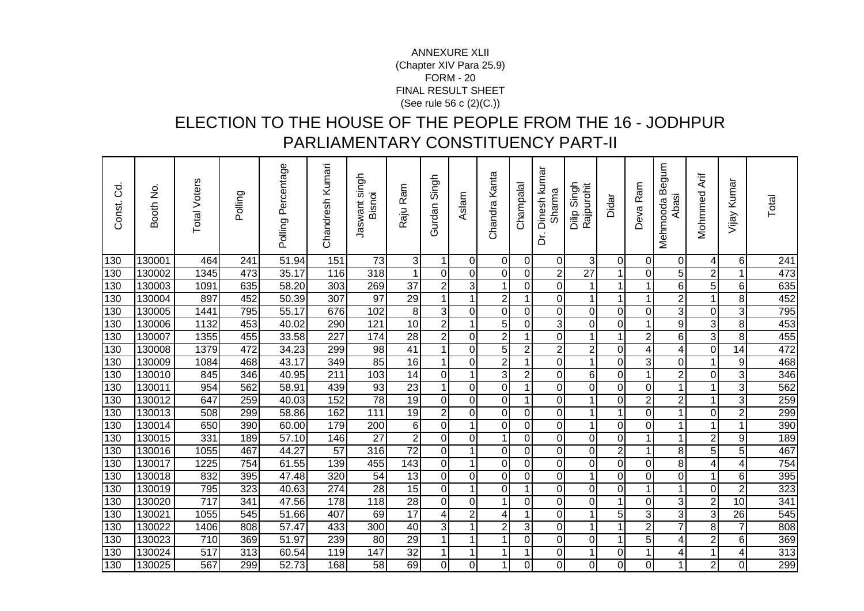## FORM - 20 FINAL RESULT SHEET (See rule 56 c (2)(C.))ANNEXURE XLII(Chapter XIV Para 25.9)

## ELECTION TO THE HOUSE OF THE PEOPLE FROM THE 16 - JODHPUR PARLIAMENTARY CONSTITUENCY PART-II

| Š<br>Const. | Booth No. | <b>Total Voters</b> | Polling          | Polling Percentage | Chandresh Kumari | singh<br>Bisnoi<br>Jaswant | Raju Ram        | Singh<br>Gurdan  | Aslam          | Chandra Kanta           | Champalal      | Dinesh kumar<br>Sharma<br>خ | Singh<br>Rajpurohit<br>Dilip | Didar                   | Ram<br>Deva      | mnbe<br>Mehmooda B<br>Abasi | Mohmmed Arif            | Vijay Kumar      | Total |
|-------------|-----------|---------------------|------------------|--------------------|------------------|----------------------------|-----------------|------------------|----------------|-------------------------|----------------|-----------------------------|------------------------------|-------------------------|------------------|-----------------------------|-------------------------|------------------|-------|
| 130         | 130001    | 464                 | 241              | 51.94              | 151              | 73                         | 3               | 1                | $\Omega$       | $\boldsymbol{0}$        | 0              | 0                           | 3                            | $\mathbf 0$             | $\mathbf 0$      | 0                           | 4                       | 6                | 241   |
| 130         | 130002    | 1345                | 473              | 35.17              | 116              | 318                        |                 | $\Omega$         | $\Omega$       | $\mathbf 0$             | $\Omega$       | $\overline{\mathbf{c}}$     | 27                           | 1                       | $\Omega$         | 5                           | $\overline{c}$          |                  | 473   |
| 130         | 130003    | 1091                | 635              | 58.20              | 303              | 269                        | $\overline{37}$ | $\overline{c}$   | 3              | $\mathbf{1}$            | 0              | $\overline{0}$              | $\mathbf{1}$                 | 1                       | 1                | $\overline{6}$              | $\overline{5}$          | 6                | 635   |
| 130         | 130004    | 897                 | 452              | 50.39              | 307              | $\overline{97}$            | $\overline{29}$ | $\overline{1}$   | 1              | $\overline{2}$          | $\mathbf{1}$   | 0                           | 1                            | $\mathbf 1$             | 1                | $\overline{2}$              | 1                       | 8                | 452   |
| 130         | 130005    | 1441                | 795              | 55.17              | 676              | 102                        | 8               | 3                | $\overline{0}$ | $\mathbf 0$             | $\overline{0}$ | 0                           | $\mathbf 0$                  | $\overline{0}$          | $\mathbf 0$      | 3                           | 0                       | 3                | 795   |
| 130         | 130006    | 1132                | 453              | 40.02              | 290              | 121                        | 10              | $\overline{2}$   |                | $\overline{5}$          | 0              | 3                           | $\mathsf 0$                  | 0                       | 1                | 9                           | ω                       | 8                | 453   |
| 130         | 130007    | 1355                | 455              | 33.58              | 227              | 174                        | $\overline{28}$ | $\overline{2}$   | $\overline{0}$ | $\overline{c}$          | $\mathbf{1}$   | 0                           | 1                            | 1                       | $\overline{c}$   | $\overline{6}$              | 3                       | 8                | 455   |
| 130         | 130008    | 1379                | 472              | 34.23              | 299              | $\overline{98}$            | 41              | $\mathbf 1$      | $\overline{0}$ | $\overline{5}$          | $\overline{2}$ | $\overline{2}$              | $\overline{2}$               | $\pmb{0}$               | 4                | 4                           | 0                       | 14               | 472   |
| 130         | 130009    | 1084                | 468              | 43.17              | 349              | 85                         | $\overline{16}$ | $\mathbf 1$      | $\Omega$       | $\overline{2}$          | $\mathbf{1}$   | 0                           | 1                            | 0                       | 3                | 0                           | $\mathbf{1}$            | $\boldsymbol{9}$ | 468   |
| 130         | 130010    | 845                 | 346              | 40.95              | 211              | 103                        | 14              | $\mathbf 0$      | 1              | $\overline{3}$          | $\overline{2}$ | 0                           | 6                            | $\mathbf 0$             | $\mathbf{1}$     | $\overline{2}$              | $\mathbf 0$             | 3                | 346   |
| 130         | 130011    | 954                 | 562              | 58.91              | 439              | 93                         | $\overline{23}$ | $\overline{1}$   | $\overline{0}$ | $\mathbf 0$             | $\mathbf{1}$   | 0                           | $\mathbf 0$                  | 0                       | 0                | $\mathbf{1}$                | $\mathbf{1}$            | 3                | 562   |
| 130         | 130012    | 647                 | 259              | 40.03              | 152              | $\overline{78}$            | $\overline{19}$ | $\boldsymbol{0}$ | $\overline{0}$ | $\mathbf 0$             | $\mathbf{1}$   | 0                           | 1                            | $\mathbf 0$             | $\overline{c}$   | $\overline{2}$              | 1                       | 3                | 259   |
| 130         | 130013    | 508                 | 299              | 58.86              | 162              | 111                        | 19              | $\overline{2}$   | 0              | $\mathbf 0$             | 0              | 0                           | 1                            | 1                       | $\boldsymbol{0}$ | 1                           | 0                       | $\overline{2}$   | 299   |
| 130         | 130014    | 650                 | 390              | 60.00              | 179              | 200                        | 6               | $\mathbf 0$      | 1              | $\mathbf 0$             | 0              | 0                           | 1                            | $\mathbf 0$             | 0                | 1                           | $\mathbf 1$             | 1                | 390   |
| 130         | 130015    | 331                 | 189              | 57.10              | 146              | $\overline{27}$            | $\overline{2}$  | $\mathbf 0$      | $\overline{0}$ | $\mathbf{1}$            | 0              | 0                           | 0                            | 0                       | 1                | 1                           | $\overline{\mathbf{c}}$ | 9                | 189   |
| 130         | 130016    | 1055                | 467              | 44.27              | 57               | 316                        | $\overline{72}$ | $\mathbf 0$      |                | $\mathbf 0$             | $\mathbf 0$    | 0                           | 0                            | $\overline{\mathbf{c}}$ | 1                | 8                           | $\overline{5}$          | 5                | 467   |
| 130         | 130017    | 1225                | 754              | 61.55              | 139              | 455                        | 143             | $\mathbf 0$      | 1              | $\mathbf 0$             | 0              | 0                           | $\overline{0}$               | $\boldsymbol{0}$        | 0                | 8                           | 4                       | 4                | 754   |
| 130         | 130018    | 832                 | 395              | 47.48              | 320              | $\overline{54}$            | $\overline{13}$ | $\mathbf 0$      | $\overline{0}$ | $\mathbf 0$             | $\overline{0}$ | 0                           | 1                            | $\mathbf 0$             | $\mathbf 0$      | $\overline{0}$              | $\mathbf{1}$            | 6                | 395   |
| 130         | 130019    | 795                 | 323              | 40.63              | 274              | $\overline{28}$            | $\overline{15}$ | $\mathbf 0$      | $\mathbf{1}$   | $\mathbf 0$             | $\mathbf{1}$   | 0                           | $\mathbf 0$                  | $\mathbf 0$             | 1                | $\mathbf{1}$                | $\mathbf 0$             | $\overline{2}$   | 323   |
| 130         | 130020    | $\overline{717}$    | 341              | 47.56              | 178              | 118                        | $\overline{28}$ | 0                | 0              | 1                       | 0              | 0                           | 0                            | 1                       | 0                | 3                           | $\overline{2}$          | 10               | 341   |
| 130         | 130021    | 1055                | 545              | 51.66              | 407              | 69                         | 17              | 4                | $\overline{2}$ | $\overline{\mathbf{4}}$ | $\mathbf{1}$   | 0                           | 1                            | 5                       | 3                | 3                           | 3                       | $\overline{26}$  | 545   |
| 130         | 130022    | 1406                | 808              | $\overline{57.47}$ | 433              | 300                        | 40              | 3                | 1              | $\overline{2}$          | 3              | 0                           | 1                            | 1                       | $\overline{2}$   | $\overline{7}$              | 8                       | $\overline{7}$   | 808   |
| 130         | 130023    | 710                 | 369              | $\frac{1}{51.97}$  | 239              | 80                         | 29              | 1                | $\mathbf 1$    | 1                       | 0              | 0                           | $\mathbf 0$                  | 1                       | $\overline{5}$   | 4                           | $\overline{2}$          | 6                | 369   |
| 130         | 130024    | 517                 | $\overline{313}$ | 60.54              | 119              | $\overline{147}$           | $\overline{32}$ | 1                | 1              | 1                       | 1              | 0                           | 1                            | 0                       | 1                | 4                           | 1                       | 4                | 313   |
| 130         | 130025    | 567                 | 299              | 52.73              | 168              | 58                         | 69              | $\pmb{0}$        | $\overline{0}$ | $\mathbf 1$             | 0              | $\overline{0}$              | 0                            | 0                       | 0                | 1                           | $\overline{2}$          | $\Omega$         | 299   |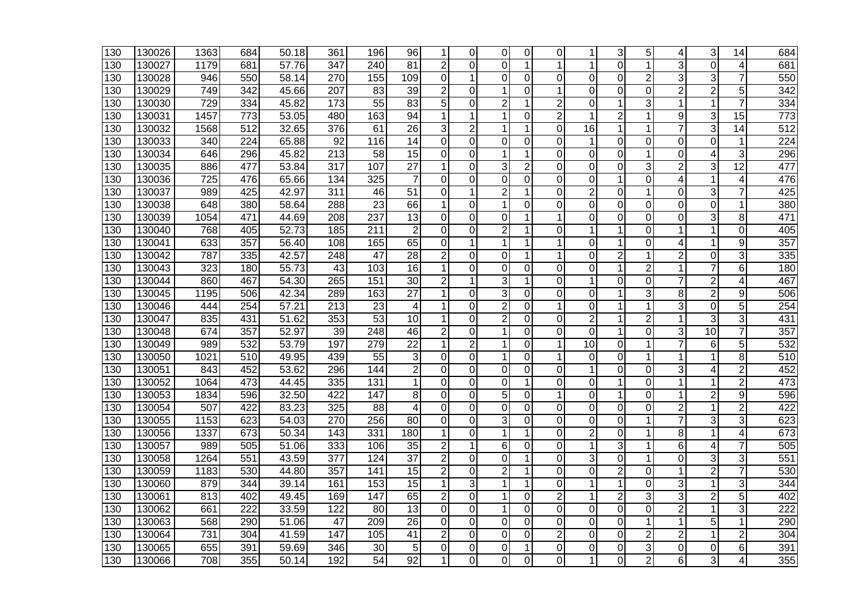| 130              | 130026 | 1363             | 684              | 50.18 | 361              | 196             | 96              | 1              | 0              | 0              | 0              | 0              |                 | 3              | 5              | 4              | 3              | 14             | 684              |
|------------------|--------|------------------|------------------|-------|------------------|-----------------|-----------------|----------------|----------------|----------------|----------------|----------------|-----------------|----------------|----------------|----------------|----------------|----------------|------------------|
| 130              | 130027 | 1179             | 681              | 57.76 | 347              | 240             | 81              | $\overline{2}$ | 0              | 0              | 1              | 1              | 1               | $\Omega$       | 1              | 3              | $\Omega$       | $\overline{4}$ | 681              |
| 130              | 130028 | 946              | 550              | 58.14 | 270              | 155             | 109             | 0              | 1              | 0              | 0              | 0              | $\mathbf 0$     | 0              | $\overline{2}$ | 3              | 3              | $\overline{7}$ | 550              |
| 130              | 130029 | 749              | 342              | 45.66 | 207              | 83              | 39              | $\overline{c}$ | 0              | 1              | 0              | 1              | $\mathbf 0$     | 0              | 0              | $\overline{2}$ | $\overline{2}$ | 5              | 342              |
| 130              | 130030 | 729              | 334              | 45.82 | 173              | 55              | 83              | 5              | $\Omega$       | $\overline{c}$ | 1              | 2              | 0               | 1              | 3              | 1              | 1              | 7              | 334              |
| 130              | 130031 | 1457             | 773              | 53.05 | 480              | 163             | 94              | $\mathbf 1$    | 1              | 1              | $\Omega$       | $\overline{2}$ | 1               | $\overline{2}$ | $\mathbf{1}$   | 9              | 3              | 15             | 773              |
| $\overline{130}$ | 130032 | 1568             | 512              | 32.65 | 376              | 61              | $\overline{26}$ | 3              | $\overline{2}$ | 1              | 1              | $\Omega$       | $\overline{16}$ | $\mathbf{1}$   | 1              |                | 3              | 14             | $\overline{512}$ |
| 130              | 130033 | 340              | $\overline{224}$ | 65.88 | 92               | 116             | 14              | 0              | $\Omega$       | $\Omega$       | $\Omega$       | $\Omega$       | 1               | $\Omega$       | 0              | 0              | 0              | $\mathbf 1$    | 224              |
| 130              | 130034 | 646              | 296              | 45.82 | 213              | 58              | 15              | 0              | $\Omega$       | 1              | 1              | $\Omega$       | 0               | $\Omega$       | 1              | 0              | 4              | 3              | 296              |
| 130              | 130035 | 886              | 477              | 53.84 | 317              | 107             | 27              | 1              | 0              | 3              | 2              | 0              | 0               | 0              | 3              | 2              | 3              | 12             | 477              |
| 130              | 130036 | 725              | 476              | 65.66 | 134              | 325             | 7               | 0              | 0              | $\Omega$       | 0              | 0              | 0               | $\mathbf 1$    | 0              | 4              | 1              | 4              | 476              |
| 130              | 130037 | 989              | 425              | 42.97 | 311              | 46              | $\overline{51}$ | $\overline{0}$ | 1              | $\overline{c}$ | 1              | 0              | $\overline{2}$  | $\Omega$       | 1              | 0              | 3              | $\overline{7}$ | 425              |
| 130              | 130038 | 648              | 380              | 58.64 | 288              | 23              | 66              | 1              | 0              | 1              | 0              | $\Omega$       | $\mathbf 0$     | 0              | $\Omega$       | $\overline{0}$ | 0              | 1              | 380              |
| $\overline{1}30$ | 130039 | 1054             | 471              | 44.69 | 208              | 237             | 13              | 0              | 0              | $\overline{0}$ | 1              | 1              | $\mathbf 0$     | $\mathbf 0$    | 0              | 0              | 3              | 8              | 471              |
| 130              | 130040 | 768              | 405              | 52.73 | 185              | 211             | $\overline{2}$  | 0              | 0              | $\overline{2}$ | 1              | 0              | 1               | 1              | $\mathbf 0$    | 1              | 1              | 0              | 405              |
| 130              | 130041 | 633              | 357              | 56.40 | 108              | 165             | 65              | $\Omega$       | 1              | 1              | 1              |                | $\Omega$        | 1              | 0              | 4              | 1              | 9              | 357              |
| 130              | 130042 | 787              | 335              | 42.57 | 248              | 47              | $\overline{28}$ | $\overline{c}$ | $\Omega$       | 0              | 1              |                | $\mathbf 0$     | $\overline{2}$ | 1              | 2              | $\Omega$       | 3              | 335              |
| 130              | 130043 | 323              | 180              | 55.73 | 43               | 103             | 16              | $\mathbf{1}$   | 0              | $\overline{0}$ | $\mathbf 0$    | $\Omega$       | $\mathbf 0$     | $\mathbf{1}$   | $\overline{2}$ | 1              |                | 6              | 180              |
| 130              | 130044 | 860              | 467              | 54.30 | 265              | 151             | 30              | $\overline{2}$ | 1              | 3              | 1              | 0              | 1               | 0              | 0              | 7              | 2              | 4              | 467              |
| 130              | 130045 | 1195             | 506              | 42.34 | 289              | 163             | $\overline{27}$ | 1              | $\Omega$       | 3              | 0              | 0              | $\Omega$        | 1              | 3              | 8              | $\overline{c}$ | 9              | 506              |
| 130              | 130046 | 444              | 254              | 57.21 | 213              | 23              | 4               | 1              | 0              | $\overline{c}$ | 0              | 1              | 0               | 1              | 1              | 3              | 0              | 5              | 254              |
| 130              | 130047 | 835              | 431              | 51.62 | 353              | $\overline{53}$ | 10              | 1              | $\Omega$       | $\overline{2}$ | 0              | 0              | $\overline{2}$  | $\mathbf 1$    | $\overline{2}$ | 1              | 3              | 3              | 431              |
| 130              | 130048 | 674              | 357              | 52.97 | 39               | 248             | 46              | $\overline{c}$ | $\overline{0}$ | 1              | 0              | $\overline{0}$ | $\overline{0}$  | 1              | $\overline{0}$ | 3              | 10             | $\overline{7}$ | 357              |
| 130              | 130049 | 989              | 532              | 53.79 | 197              | 279             | $\overline{22}$ | 1              | $\overline{2}$ | 1              | $\mathbf 0$    | 1              | 10              | $\Omega$       | 1              |                | 6              | 5              | 532              |
| $\overline{1}30$ | 130050 | 1021             | 510              | 49.95 | 439              | 55              | 3               | 0              | $\overline{0}$ | 1              | $\overline{0}$ | 1              | $\mathbf 0$     | $\mathbf 0$    | 1              | 1              | 1              | 8              | $\overline{510}$ |
| 130              | 130051 | 843              | 452              | 53.62 | 296              | 144             | $\overline{c}$  | 0              | 0              | 0              | 0              | $\Omega$       | 1               | 0              | 0              | 3              | 4              | $\overline{2}$ | 452              |
| 130              | 130052 | 1064             | 473              | 44.45 | 335              | 131             | 1               | $\mathbf 0$    | $\Omega$       | $\Omega$       | 1              | $\Omega$       | $\Omega$        | $\mathbf 1$    | $\Omega$       | 1              | 1              | $\overline{2}$ | 473              |
| 130              | 130053 | 1834             | 596              | 32.50 | 422              | 147             | 8               | $\mathbf 0$    | $\Omega$       | 5              | $\Omega$       | 1              | $\mathbf 0$     | 1              | $\overline{0}$ | 1              | $\overline{c}$ | 9              | 596              |
| 130              | 130054 | 507              | 422              | 83.23 | 325              | 88              | 4               | 0              | 0              | $\overline{0}$ | $\mathbf 0$    | $\Omega$       | $\Omega$        | $\Omega$       | $\overline{0}$ | 2              | 1              | $\overline{2}$ | 422              |
| 130              | 130055 | 1153             | 623              | 54.03 | 270              | 256             | 80              | 0              | $\Omega$       | 3              | $\Omega$       | 0              | $\Omega$        | 0              | 1              | 7              | 3              | 3              | 623              |
| 130              | 130056 | 1337             | 673              | 50.34 | 143              | 331             | 180             | 1              | 0              | 1              | 1              | 0              | $\overline{2}$  | 0              | 1              | 8              |                | 4              | 673              |
| 130              | 130057 | 989              | 505              | 51.06 | 333              | 106             | 35              | $\overline{2}$ | 1              | 6              | 0              | 0              | 1               | 3              | 1              | 6              | 4              | 7              | 505              |
| 130              | 130058 | 1264             | 551              | 43.59 | $\overline{377}$ | 124             | $\overline{37}$ | $\overline{2}$ | 0              | $\overline{0}$ | 1              | 0              | 3               | 0              | 1              | 0              | 3              | 3              | $\overline{551}$ |
| 130              | 130059 | 1183             | 530              | 44.80 | 357              | 141             | 15              | $\overline{2}$ | $\overline{0}$ | $\overline{2}$ | 1              | $\overline{0}$ | $\overline{0}$  | $\overline{c}$ | $\overline{0}$ | 1              | $\overline{2}$ | $\overline{7}$ | 530              |
| 130              | 130060 | 879              | 344              | 39.14 | 161              | 153             | 15              | 1              | 3              | 1              | 1              | $\Omega$       | 1               | 1              | $\Omega$       | 3              | 1              | 3              | 344              |
| $\overline{130}$ | 130061 | 813              | 402              | 49.45 | 169              | 147             | 65              | $\overline{2}$ | $\Omega$       | 1              | $\Omega$       | $\overline{2}$ | 1               | $\overline{c}$ | 3              | 3              | $\overline{2}$ | 5              | 402              |
| 130              | 130062 | 661              | 222              | 33.59 | 122              | 80              | 13              | 0              | 0              | 1              | 0              | 0              | 0               | $\Omega$       | 0              | 2              | 1              | 3              | 222              |
| 130              | 130063 | 568              | 290              | 51.06 | 47               | 209             | $\overline{26}$ | 0              | 0              | $\Omega$       | 0              | 0              | $\Omega$        | 0              | 1              | 1              | 5              | 1              | 290              |
| 130              | 130064 | $\overline{731}$ | 304              | 41.59 | 147              | 105             | 41              | $\overline{2}$ | $\Omega$       | 0              | $\Omega$       | $\overline{2}$ | $\mathbf 0$     | $\Omega$       | $\overline{2}$ | 2              | 1              | $\overline{2}$ | 304              |
| $\overline{130}$ | 130065 | 655              | 391              | 59.69 | 346              | 30              | 5               | 0              | 0              | $\Omega$       | 1              | 0              | $\Omega$        | 0              | 3              | 0              | $\Omega$       | 6              | 391              |
| 130              | 130066 | 708              | 355              | 50.14 | 192              | $\overline{54}$ | 92              | 1              | 0              | 0              | $\Omega$       | $\Omega$       | 1               | $\Omega$       | $\overline{2}$ | 6              | 3              | 4              | 355              |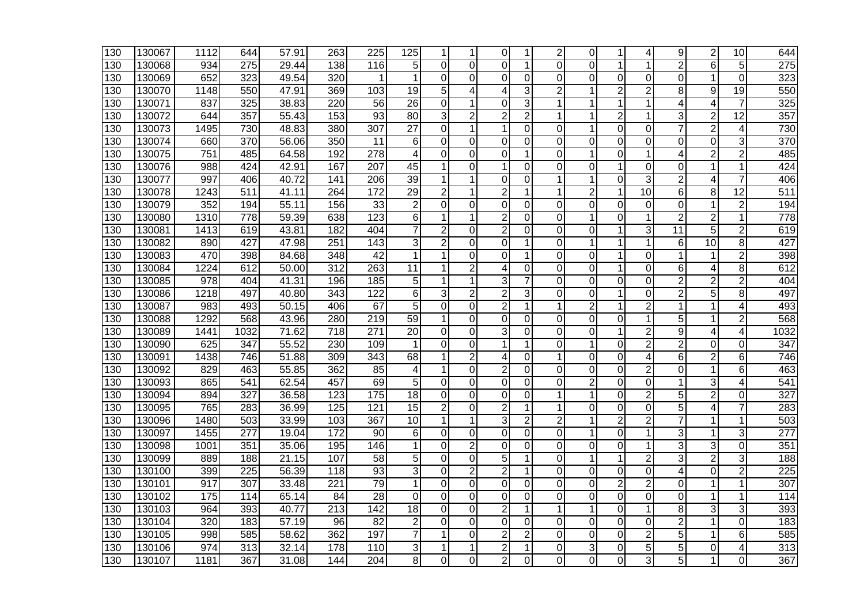| 130              | 130067 | 1112             | 644              | 57.91 | 263              | 225               | 125             | 1              |                | 0              | 1              | 2              | 0              | 1              | 4               | 9                       | 2              | 10              | 644              |
|------------------|--------|------------------|------------------|-------|------------------|-------------------|-----------------|----------------|----------------|----------------|----------------|----------------|----------------|----------------|-----------------|-------------------------|----------------|-----------------|------------------|
| 130              | 130068 | 934              | 275              | 29.44 | 138              | 116               | 5               | $\Omega$       | $\Omega$       | 0              | 1              | 0              | 0              | 1              | 1               | $\overline{2}$          | 6              | 5               | 275              |
| 130              | 130069 | 652              | 323              | 49.54 | 320              |                   | 1               | $\overline{0}$ | $\overline{0}$ | 0              | 0              | 0              | $\mathbf 0$    | 0              | 0               | 0                       | 1              | $\overline{0}$  | 323              |
| 130              | 130070 | 1148             | 550              | 47.91 | 369              | 103               | 19              | 5              | 4              | 4              | 3              | $\overline{c}$ | 1              | $\overline{2}$ | 2               | 8                       | 9              | 19              | 550              |
| 130              | 130071 | 837              | 325              | 38.83 | 220              | 56                | $\overline{26}$ | 0              | 1              | 0              | 3              | 1              | 1              | 1              | 1               | 4                       | 4              | 7               | 325              |
| 130              | 130072 | 644              | 357              | 55.43 | 153              | $\overline{93}$   | 80              | 3              | $\overline{2}$ | $\overline{2}$ | $\overline{2}$ |                | 1              | $\overline{2}$ | 1               | 3                       | $\overline{2}$ | $\overline{12}$ | 357              |
| 130              | 130073 | 1495             | 730              | 48.83 | 380              | 307               | $\overline{27}$ | $\Omega$       | 1              | 1              | $\Omega$       | 0              | $\mathbf 1$    | 0              | $\Omega$        | $\overline{7}$          | $\overline{2}$ | 4               | 730              |
| 130              | 130074 | 660              | 370              | 56.06 | 350              | 11                | 6               | $\Omega$       | 0              | $\Omega$       | $\Omega$       | 0              | $\Omega$       | 0              | $\Omega$        | 0                       | 0              | 3               | 370              |
| 130              | 130075 | 751              | 485              | 64.58 | 192              | 278               | 4               | $\Omega$       | $\mathbf 0$    | 0              | 1              | 0              | 1              | 0              | 1               | 4                       | 2              | $\overline{2}$  | 485              |
| 130              | 130076 | 988              | 424              | 42.91 | 167              | 207               | 45              | 1              | 0              | 1              | 0              | 0              | 0              | 1              | 0               | 0                       | 1              | 1               | 424              |
| 130              | 130077 | 997              | 406              | 40.72 | 141              | $\overline{206}$  | 39              | 1              | 1              | 0              | 0              | 1              | 1              | 0              | 3               | $\overline{2}$          | 4              | $\overline{7}$  | 406              |
| 130              | 130078 | 1243             | 511              | 41.11 | 264              | 172               | $\overline{29}$ | $\overline{2}$ |                | $\overline{2}$ | 1              |                | $\overline{2}$ | 1              | $\overline{10}$ | 6                       | 8              | $\overline{12}$ | $\overline{511}$ |
| 130              | 130079 | 352              | 194              | 55.11 | 156              | 33                | $\mathbf 2$     | $\Omega$       | $\Omega$       | $\Omega$       | 0              | 0              | $\Omega$       | 0              | $\Omega$        | 0                       | 1              | $\overline{2}$  | 194              |
| 130              | 130080 | 1310             | 778              | 59.39 | 638              | 123               | 6               | 1              | 1              | $\overline{c}$ | 0              | 0              | 1              | 0              | 1               | $\overline{2}$          | 2              | 1               | 778              |
| 130              | 130081 | 1413             | 619              | 43.81 | 182              | 404               | 7               | $\overline{2}$ | 0              | $\overline{2}$ | 0              | 0              | $\Omega$       | 1              | 3               | 11                      | 5              | $\overline{2}$  | 619              |
| 130              | 130082 | 890              | 427              | 47.98 | 251              | 143               | 3               | $\overline{2}$ | $\mathbf 0$    | 0              | 1              | 0              | 1              | 1              | 1               | 6                       | 10             | 8               | 427              |
| 130              | 130083 | 470              | 398              | 84.68 | 348              | 42                | 1               | 1              | $\Omega$       | $\overline{0}$ | 1              | 0              | $\overline{0}$ | 1              | $\overline{0}$  | 1                       | 1              | $\overline{2}$  | 398              |
| 130              | 130084 | 1224             | 612              | 50.00 | 312              | 263               | 11              | 1              | $\overline{2}$ | 4              | 0              | 0              | $\mathbf 0$    | 1              | $\overline{0}$  | 6                       | 4              | 8               | 612              |
| 130              | 130085 | 978              | 404              | 41.31 | 196              | 185               | 5               | $\mathbf{1}$   | 1              | 3              | 7              | 0              | $\mathbf 0$    | 0              | 0               | $\overline{2}$          | $\overline{2}$ | $\overline{c}$  | 404              |
| 130              | 130086 | 1218             | 497              | 40.80 | 343              | 122               | 6               | 3              | $\overline{2}$ | $\overline{c}$ | 3              | 0              | $\Omega$       | 1              | 0               | $\overline{\mathbf{c}}$ | 5              | 8               | 497              |
| 130              | 130087 | 983              | 493              | 50.15 | 406              | 67                | 5               | $\Omega$       | 0              | $\overline{2}$ | 1              | 1              | $\overline{c}$ | 1              | 2               | 1                       | 1              | 4               | 493              |
| 130              | 130088 | 1292             | 568              | 43.96 | 280              | 219               | 59              | 1              | $\mathbf 0$    | $\overline{0}$ | $\Omega$       | 0              | $\mathbf 0$    | 0              | 1               | 5                       | 1              | $\overline{2}$  | 568              |
| 130              | 130089 | 1441             | 1032             | 71.62 | 718              | 271               | $\overline{20}$ | 0              | $\mathbf 0$    | 3              | 0              | 0              | $\mathbf 0$    | 1              | $\overline{2}$  | 9                       | 4              | 4               | 1032             |
| 130              | 130090 | 625              | 347              | 55.52 | 230              | 109               | 1               | $\Omega$       | $\Omega$       |                | 1              | 0              | 1              | 0              | 2               | $\overline{2}$          | 0              | 0               | 347              |
| 130              | 130091 | 1438             | 746              | 51.88 | 309              | 343               | 68              | 1              | $\overline{2}$ | 4              | 0              | 1              | 0              | 0              | 4               | 6                       | 2              | 6               | 746              |
| 130              | 130092 | 829              | 463              | 55.85 | 362              | 85                | 4               | 1              | 0              | $\overline{2}$ | 0              | 0              | $\Omega$       | 0              | $\overline{2}$  | 0                       | 1              | 6               | 463              |
| 130              | 130093 | 865              | 541              | 62.54 | 457              | 69                | 5               | 0              | 0              | $\overline{0}$ | 0              | 0              | $\overline{2}$ | 0              | 0               | 1                       | 3              | 4               | $\overline{541}$ |
| 130              | 130094 | 894              | 327              | 36.58 | 123              | $\frac{175}{175}$ | $\overline{18}$ | $\overline{0}$ | 0              | $\overline{0}$ | 0              | 1              | $\mathbf{1}$   | $\overline{0}$ | $\overline{2}$  | 5                       | $\overline{2}$ | $\overline{0}$  | 327              |
| 130              | 130095 | 765              | 283              | 36.99 | 125              | 121               | $\overline{15}$ | $\overline{2}$ | 0              | $\overline{2}$ | 1              | 1              | $\Omega$       | 0              | $\mathbf 0$     | 5                       | 4              | $\overline{7}$  | 283              |
| 130              | 130096 | 1480             | 503              | 33.99 | 103              | 367               | 10              | $\mathbf{1}$   | 1              | 3              | $\overline{c}$ | $\overline{2}$ | 1              | $\overline{2}$ | 2               | $\overline{7}$          | 1              | 1               | 503              |
| 130              | 130097 | 1455             | 277              | 19.04 | 172              | 90                | 6               | $\overline{0}$ | $\Omega$       | $\Omega$       | 0              | 0              | 1              | 0              | 1               | 3                       | 1              | 3               | $\overline{277}$ |
| 130              | 130098 | 1001             | 351              | 35.06 | 195              | 146               | 1               | $\Omega$       | $\overline{2}$ | 0              | 0              | 0              | $\Omega$       | 0              | 1               | 3                       | 3              | 0               | 351              |
| 130              | 130099 | 889              | 188              | 21.15 | 107              | 58                | 5               | 0              | 0              | 5              | 1              | 0              | 1              | 1              | $\overline{2}$  | 3                       | $\overline{2}$ | 3               | 188              |
| 130              | 130100 | 399              | 225              | 56.39 | 118              | $\overline{93}$   | 3               | $\overline{0}$ | $\overline{2}$ | $\overline{2}$ | 1              | 0              | $\overline{0}$ | 0              | $\overline{0}$  | 4                       | 0              | $\overline{2}$  | $\overline{225}$ |
| 130              | 130101 | 917              | 307              | 33.48 | 221              | 79                | 1               | $\overline{0}$ | 0              | $\overline{0}$ | 0              | 0              | $\Omega$       | $\overline{2}$ | $\overline{2}$  | 0                       | 1              | 1               | 307              |
| $\overline{130}$ | 130102 | 175              | 114              | 65.14 | $\overline{84}$  | $\overline{28}$   | 0               | $\Omega$       | $\Omega$       | $\Omega$       | 0              | 0              | $\mathbf 0$    | 0              | 0               | 0                       | 1              | 1               | 114              |
| 130              | 130103 | 964              | 393              | 40.77 | $\overline{213}$ | 142               | $\overline{18}$ | $\Omega$       | $\mathbf 0$    | $\overline{2}$ | 1              | 1              | 1              | 0              | 1               | 8                       | 3              | 3               | 393              |
| 130              | 130104 | $\overline{320}$ | 183              | 57.19 | $\overline{96}$  | 82                | $\overline{2}$  | $\Omega$       | $\Omega$       | 0              | 0              | 0              | $\Omega$       | 0              | $\Omega$        | 2                       | 1              | 0               | 183              |
| 130              | 130105 | 998              | 585              | 58.62 | 362              | 197               | 7               | 1              | $\Omega$       | $\overline{2}$ | $\overline{c}$ | 0              | $\overline{0}$ | $\mathbf 0$    | $\overline{2}$  | 5                       | 1              | 6               | 585              |
| 130              | 130106 | 974              | $\overline{313}$ | 32.14 | 178              | 110               | 3               | 1              |                | $\overline{2}$ | 1              | 0              | 3              | 0              | 5               | 5                       | 0              | 4               | $\overline{313}$ |
| 130              | 130107 | 1181             | 367              | 31.08 | 144              | 204               | 8               | $\Omega$       | 0              | $\overline{2}$ | 0              | 0              | $\Omega$       | 0              | 3               | 5                       | 1              | 0               | 367              |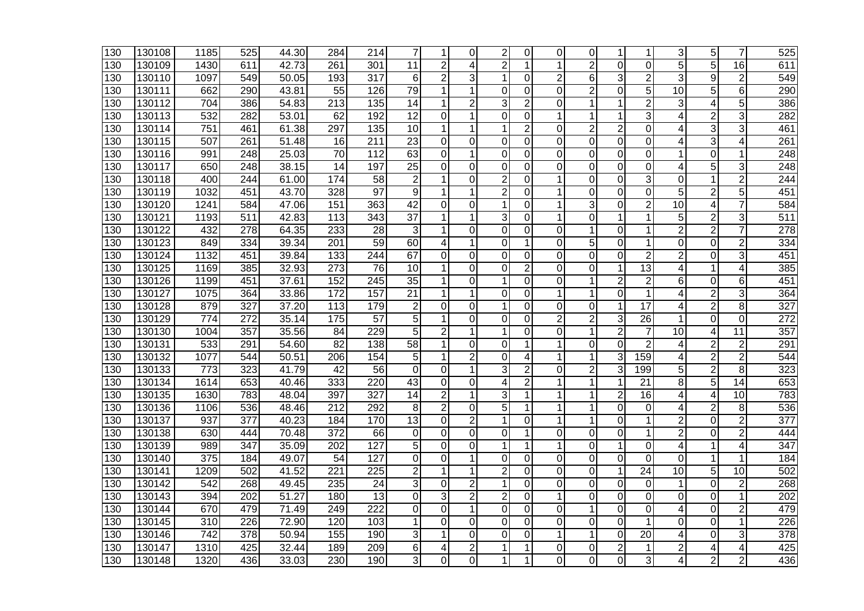| 130              | 130108 | 1185             | 525              | 44.30 | 284              | 214              | 7               | 1              | 0              | 2              | 0              | 0              | $\Omega$       | 1              | 1               | 3              | 5              | 7               | 525              |
|------------------|--------|------------------|------------------|-------|------------------|------------------|-----------------|----------------|----------------|----------------|----------------|----------------|----------------|----------------|-----------------|----------------|----------------|-----------------|------------------|
| 130              | 130109 | 1430             | 611              | 42.73 | 261              | 301              | $\overline{11}$ | $\overline{2}$ | 4              | $\overline{2}$ | 1              | 1              | $\overline{2}$ | 0              | $\Omega$        | $\overline{5}$ | 5              | $\overline{16}$ | 611              |
| 130              | 130110 | 1097             | 549              | 50.05 | 193              | 317              | 6               | $\overline{2}$ | 3              | $\mathbf{1}$   | 0              | $\overline{2}$ | 6              | 3              | $\overline{2}$  | 3              | 9              | $\overline{2}$  | 549              |
| 130              | 130111 | 662              | 290              | 43.81 | 55               | 126              | 79              | 1              | 1              | $\Omega$       | $\Omega$       | 0              | $\overline{2}$ | 0              | 5               | 10             | 5              | 6               | 290              |
| 130              | 130112 | 704              | 386              | 54.83 | 213              | 135              | 14              | 1              | 2              | 3              | 2              | 0              | 1              | 1              | $\overline{c}$  | 3              | 4              | 5               | 386              |
| 130              | 130113 | 532              | 282              | 53.01 | 62               | 192              | 12              | $\Omega$       | 1              | $\overline{0}$ | $\Omega$       | 1              | 1              | 1              | 3               | 4              | 2              | 3               | 282              |
| 130              | 130114 | 751              | 461              | 61.38 | 297              | 135              | 10              | 1              |                | 1              | 2              | 0              | $\overline{2}$ | $\overline{2}$ | $\mathbf 0$     | 4              | 3              | 3               | 461              |
| 130              | 130115 | 507              | 261              | 51.48 | 16               | $\overline{211}$ | 23              | $\Omega$       | 0              | 0              | 0              | 0              | $\Omega$       | 0              | $\Omega$        | 4              | 3              | 4               | 261              |
| $\overline{130}$ | 130116 | 991              | $\overline{248}$ | 25.03 | $\overline{70}$  | $\overline{112}$ | 63              | $\overline{0}$ | 1              | 0              | 0              | 0              | $\mathbf 0$    | 0              | $\overline{0}$  | 1              | 0              | 1               | 248              |
| 130              | 130117 | 650              | 248              | 38.15 | 14               | 197              | $\overline{25}$ | 0              | 0              | 0              | 0              | 0              | 0              | 0              | 0               | 4              | 5              | 3               | 248              |
| 130              | 130118 | 400              | 244              | 61.00 | 174              | 58               | $\overline{2}$  | 1              | $\Omega$       | $\overline{2}$ | 0              | 1              | 0              | 0              | 3               | 0              | 1              | $\overline{c}$  | 244              |
| 130              | 130119 | 1032             | 451              | 43.70 | 328              | $\overline{97}$  | 9               | 1              | 1              | $\overline{c}$ | 0              |                | $\mathbf 0$    | 0              | $\overline{0}$  | 5              | $\overline{c}$ | 5               | 451              |
| 130              | 130120 | 1241             | 584              | 47.06 | 151              | 363              | 42              | $\Omega$       | $\Omega$       | 1              | $\Omega$       | 1              | 3              | 0              | $\overline{2}$  | 10             | 4              | $\overline{7}$  | 584              |
| 130              | 130121 | 1193             | 511              | 42.83 | 113              | 343              | 37              | 1              | 1              | 3              | 0              | 1              | 0              | 1              | 1               | 5              | 2              | 3               | 511              |
| 130              | 130122 | 432              | 278              | 64.35 | 233              | 28               | 3               | 1              | 0              | 0              | 0              | 0              | 1              | 0              | 1               | $\overline{2}$ | $\overline{2}$ | 7               | 278              |
| 130              | 130123 | 849              | 334              | 39.34 | 201              | 59               | 60              | 4              | 1              | 0              | 1              | 0              | 5              | 0              | 1               | 0              | 0              | 2               | 334              |
| 130              | 130124 | 1132             | 451              | 39.84 | 133              | 244              | 67              | 0              | 0              | $\overline{0}$ | 0              | $\overline{0}$ | $\mathbf 0$    | $\overline{0}$ | $\overline{2}$  | $\overline{2}$ | $\mathbf 0$    | 3               | 451              |
| 130              | 130125 | 1169             | 385              | 32.93 | 273              | 76               | 10              | 1              | 0              | 0              | $\overline{c}$ | 0              | $\mathbf 0$    | 1              | $\overline{13}$ | 4              | 1              | 4               | 385              |
| 130              | 130126 | 1199             | 451              | 37.61 | 152              | 245              | 35              | 1              | $\Omega$       | $\mathbf 1$    | $\Omega$       | $\Omega$       | 1              | $\overline{2}$ | $\overline{2}$  | 6              | $\Omega$       | 6               | 451              |
| 130              | 130127 | 1075             | 364              | 33.86 | 172              | 157              | 21              | $\mathbf{1}$   | 1              | 0              | $\Omega$       | 1              | $\mathbf{1}$   | $\Omega$       | 1               | 4              | 2              | 3               | 364              |
| 130              | 130128 | 879              | 327              | 37.20 | 113              | 179              | $\overline{2}$  | 0              | 0              | 1              | 0              | 0              | $\Omega$       | 1              | 17              | 4              | $\overline{2}$ | 8               | $\overline{327}$ |
| 130              | 130129 | $\overline{774}$ | 272              | 35.14 | 175              | 57               | 5               | 1              | 0              | 0              | 0              | 2              | $\overline{2}$ | 3              | 26              | 1              | 0              | 0               | 272              |
| 130              | 130130 | 1004             | 357              | 35.56 | 84               | 229              | 5               | $\overline{c}$ | 1              | 1              | 0              | 0              | $\mathbf{1}$   | $\overline{c}$ | $\overline{7}$  | 10             | 4              | 11              | 357              |
| 130              | 130131 | 533              | 291              | 54.60 | 82               | 138              | 58              | $\mathbf{1}$   | $\Omega$       | 0              | 1              |                | $\mathbf 0$    | 0              | $\overline{2}$  | 4              | $\overline{c}$ | $\overline{2}$  | 291              |
| 130              | 130132 | 1077             | 544              | 50.51 | 206              | 154              | 5               | $\mathbf{1}$   | $\overline{2}$ | $\Omega$       | 4              | 1              | $\mathbf{1}$   | 3              | 159             | 4              | $\overline{2}$ | $\overline{2}$  | 544              |
| 130              | 130133 | 773              | 323              | 41.79 | 42               | 56               | 0               | $\Omega$       | 1              | 3              | $\overline{c}$ | 0              | $\overline{c}$ | 3              | 199             | 5              | $\overline{c}$ | 8               | 323              |
| 130              | 130134 | 1614             | 653              | 40.46 | 333              | 220              | 43              | $\Omega$       | 0              | 4              | 2              | 1              | 1              | 1              | 21              | 8              | 5              | 14              | 653              |
| 130              | 130135 | 1630             | 783              | 48.04 | 397              | 327              | 14              | $\overline{2}$ | 1              | 3              | 1              | 1              | 1              | $\overline{2}$ | 16              | 4              | 4              | 10              | 783              |
| 130              | 130136 | 1106             | 536              | 48.46 | 212              | 292              | 8               | $\overline{2}$ | $\mathbf 0$    | $\overline{5}$ | 1              |                | 1              | 0              | $\mathbf 0$     | 4              | $\overline{2}$ | 8               | 536              |
| 130              | 130137 | 937              | 377              | 40.23 | 184              | 170              | 13              | 0              | 2              | 1              | 0              | 1              | 1              | 0              | 1               | $\overline{2}$ | 0              | 2               | $\overline{377}$ |
| 130              | 130138 | 630              | 444              | 70.48 | $\overline{372}$ | 66               | $\mathbf 0$     | $\overline{0}$ | 0              | 0              | 1              | 0              | $\mathbf 0$    | 0              | 1               | $\overline{2}$ | 0              | $\overline{2}$  | 444              |
| 130              | 130139 | 989              | 347              | 35.09 | 202              | 127              | 5               | 0              | 0              | 1              | 1              | 1              | 0              | 1              | $\mathbf 0$     | 4              | 1              | 4               | 347              |
| 130              | 130140 | 375              | 184              | 49.07 | 54               | 127              | $\Omega$        | $\Omega$       | 1              | 0              | 0              | 0              | $\Omega$       | 0              | $\mathbf 0$     | 0              | 1              | 1               | 184              |
| 130              | 130141 | 1209             | 502              | 41.52 | 221              | 225              | $\overline{c}$  | $\mathbf{1}$   |                | $\overline{c}$ | $\Omega$       | 0              | $\overline{0}$ | $\mathbf{1}$   | $\overline{24}$ | 10             | 5              | 10              | 502              |
| 130              | 130142 | 542              | 268              | 49.45 | 235              | 24               | 3               | $\Omega$       | $\overline{2}$ | $\mathbf{1}$   | 0              | 0              | $\mathbf 0$    | 0              | $\mathbf 0$     | 1              | $\Omega$       | $\overline{2}$  | 268              |
| 130              | 130143 | 394              | $\overline{202}$ | 51.27 | 180              | $\overline{13}$  | $\Omega$        | 3              | 2              | $\overline{2}$ | 0              | 1              | $\Omega$       | 0              | $\Omega$        | 0              | 0              | 1               | 202              |
| 130              | 130144 | 670              | 479              | 71.49 | 249              | 222              | 0               | $\overline{0}$ | 1              | $\overline{0}$ | 0              | 0              | 1              | 0              | $\mathbf 0$     | 4              | 0              | $\overline{2}$  | 479              |
| 130              | 130145 | 310              | 226              | 72.90 | 120              | 103              | 1               | $\Omega$       | $\mathbf 0$    | 0              | 0              | 0              | 0              | 0              | 1               | 0              | 0              | 1               | 226              |
| 130              | 130146 | $\overline{742}$ | $\overline{378}$ | 50.94 | 155              | 190              | 3               | 1              | $\Omega$       | $\Omega$       | $\Omega$       | 1              | $\mathbf{1}$   | $\Omega$       | $\overline{20}$ | 4              | $\Omega$       | 3               | 378              |
| 130              | 130147 | 1310             | 425              | 32.44 | 189              | 209              | 6               | 4              | $\overline{c}$ |                |                | 0              | $\mathbf 0$    | $\overline{c}$ | 1               | $\overline{2}$ | 4              | 4               | 425              |
| 130              | 130148 | 1320             | 436              | 33.03 | 230              | 190              | 3               | $\Omega$       | $\Omega$       | 1              | 1              | 0              | $\Omega$       | 0              | 3               | 4              | 2              | 2               | 436              |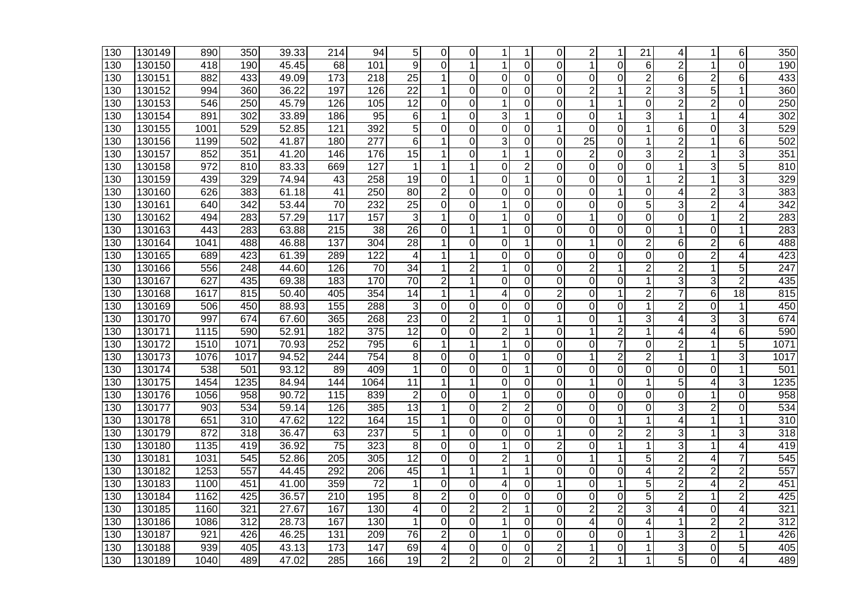| 130              | 130149 | 890  | 350              | 39.33 | 214              | 94               | 5               | 0              | 0              | 1              | 1              | 0              | $\overline{2}$  | 1              | 21             | 4              | 1              | 6              | 350              |
|------------------|--------|------|------------------|-------|------------------|------------------|-----------------|----------------|----------------|----------------|----------------|----------------|-----------------|----------------|----------------|----------------|----------------|----------------|------------------|
| 130              | 130150 | 418  | 190              | 45.45 | 68               | 101              | 9               | $\Omega$       |                | 1              | $\Omega$       | $\overline{0}$ | $\mathbf{1}$    | $\Omega$       | 6              | $\overline{2}$ | 1              | $\Omega$       | 190              |
| 130              | 130151 | 882  | 433              | 49.09 | 173              | 218              | 25              | $\mathbf{1}$   | 0              | 0              | 0              | 0              | $\mathbf 0$     | 0              | $\overline{2}$ | 6              | $\overline{2}$ | 6              | 433              |
| 130              | 130152 | 994  | 360              | 36.22 | 197              | 126              | 22              | $\mathbf{1}$   | $\Omega$       | $\Omega$       | $\Omega$       | 0              | $\overline{2}$  | 1              | $\overline{2}$ | 3              | 5              | 1              | 360              |
| 130              | 130153 | 546  | 250              | 45.79 | 126              | 105              | 12              | 0              | 0              | 1              | 0              | 0              | 1               | 1              | 0              | 2              | 2              | 0              | 250              |
| 130              | 130154 | 891  | $\overline{302}$ | 33.89 | 186              | $\overline{95}$  | 6               | 1              | $\Omega$       | 3              | 1              | 0              | $\Omega$        | 1              | 3              | 1              | 1              | 4              | 302              |
| $\overline{130}$ | 130155 | 1001 | 529              | 52.85 | 121              | 392              | 5               | $\Omega$       | 0              | 0              | 0              | 1              | $\Omega$        | $\Omega$       | 1              | 6              | 0              | 3              | 529              |
| 130              | 130156 | 1199 | 502              | 41.87 | 180              | 277              | 6               | 1              | $\Omega$       | 3              | 0              | 0              | $\overline{25}$ | 0              | 1              | $\overline{2}$ | 1              | 6              | 502              |
| $\overline{130}$ | 130157 | 852  | 351              | 41.20 | 146              | 176              | $\overline{15}$ | 1              | 0              | 1              | 1              | 0              | $\overline{2}$  | 0              | 3              | $\overline{2}$ | 1              | 3              | 351              |
| 130              | 130158 | 972  | 810              | 83.33 | 669              | 127              | 1               | 1              |                | 0              | 2              | 0              | 0               | 0              | 0              | 1              | 3              | 5              | 810              |
| 130              | 130159 | 439  | 329              | 74.94 | 43               | 258              | $\overline{19}$ | 0              | 1              | 0              | 1              | 0              | 0               | 0              | 1              | $\overline{c}$ | 1              | 3              | 329              |
| 130              | 130160 | 626  | 383              | 61.18 | 41               | 250              | 80              | $\overline{c}$ | $\Omega$       | 0              | 0              | 0              | $\mathbf 0$     | 1              | $\overline{0}$ | 4              | $\overline{c}$ | 3              | 383              |
| 130              | 130161 | 640  | 342              | 53.44 | 70               | 232              | 25              | $\Omega$       | $\Omega$       |                | $\Omega$       | $\Omega$       | $\Omega$        | $\Omega$       | 5              | 3              | $\overline{2}$ | 4              | 342              |
| 130              | 130162 | 494  | 283              | 57.29 | 117              | 157              | 3               | 1              | $\mathbf 0$    | 1              | 0              | 0              | 1               | 0              | 0              | 0              | 1              | $\overline{2}$ | 283              |
| 130              | 130163 | 443  | 283              | 63.88 | 215              | 38               | $\overline{26}$ | $\Omega$       | 1              | 1              | 0              | 0              | $\Omega$        | 0              | 0              | 1              | 0              | 1              | 283              |
| 130              | 130164 | 1041 | 488              | 46.88 | 137              | 304              | 28              | 1              | 0              | 0              | 1              | 0              | 1               | 0              | $\overline{2}$ | 6              | $\overline{2}$ | 6              | 488              |
| 130              | 130165 | 689  | 423              | 61.39 | 289              | 122              | 4               | 1              |                | $\overline{0}$ | $\Omega$       | $\overline{0}$ | $\mathbf 0$     | $\overline{0}$ | $\overline{0}$ | 0              | $\overline{2}$ | 4              | 423              |
| 130              | 130166 | 556  | 248              | 44.60 | 126              | 70               | 34              | 1              | $\overline{2}$ | $\mathbf 1$    | 0              | 0              | $\overline{2}$  | 1              | $\overline{2}$ | $\overline{2}$ | 1              | 5              | 247              |
| 130              | 130167 | 627  | 435              | 69.38 | 183              | 170              | 70              | $\overline{2}$ | 1              | $\Omega$       | 0              | $\Omega$       | $\Omega$        | $\Omega$       | 1              | 3              | 3              | $\overline{2}$ | 435              |
| 130              | 130168 | 1617 | 815              | 50.40 | 405              | 354              | 14              | 1              | 1              | 4              | 0              | $\overline{2}$ | $\Omega$        | 1              | $\overline{2}$ | $\overline{7}$ | 6              | 18             | 815              |
| 130              | 130169 | 506  | 450              | 88.93 | 155              | 288              | 3               | 0              | 0              | 0              | 0              | 0              | $\Omega$        | 0              | 1              | $\overline{c}$ | 0              | 1              | 450              |
| 130              | 130170 | 997  | 674              | 67.60 | 365              | 268              | $\overline{23}$ | $\Omega$       | $\overline{2}$ | 1              | 0              | 1              | 0               | 1              | 3              | 4              | 3              | 3              | 674              |
| 130              | 130171 | 1115 | 590              | 52.91 | 182              | $\overline{375}$ | $\overline{12}$ | $\overline{0}$ | $\overline{0}$ | $\overline{2}$ | 1              | 0              | $\mathbf{1}$    | $\overline{c}$ | 1              | 4              | 4              | 6              | 590              |
| 130              | 130172 | 1510 | 1071             | 70.93 | 252              | 795              | 6               | 1              |                |                | 0              | 0              | $\mathbf 0$     | $\overline{7}$ | $\overline{0}$ | $\overline{2}$ | 1              | 5              | 1071             |
| 130              | 130173 | 1076 | 1017             | 94.52 | 244              | 754              | 8               | $\mathbf 0$    | $\Omega$       | $\mathbf 1$    | 0              | 0              | $\mathbf{1}$    | $\overline{2}$ | 2              | $\mathbf{1}$   | 1              | 3              | 1017             |
| 130              | 130174 | 538  | 501              | 93.12 | 89               | 409              | 1               | $\Omega$       | $\Omega$       | $\Omega$       | 1              | 0              | $\mathbf 0$     | 0              | 0              | 0              | 0              | 1              | 501              |
| 130              | 130175 | 1454 | 1235             | 84.94 | 144              | 1064             | 11              | 1              | 1              | 0              | 0              | 0              | 1               | 0              | 1              | 5              | 4              | 3              | 1235             |
| 130              | 130176 | 1056 | 958              | 90.72 | 115              | 839              | $\overline{2}$  | $\Omega$       | $\mathbf 0$    | 1              | $\Omega$       | 0              | $\Omega$        | 0              | $\mathbf 0$    | 0              | 1              | $\Omega$       | 958              |
| 130              | 130177 | 903  | 534              | 59.14 | 126              | 385              | 13              | 1              | 0              | $\overline{2}$ | $\overline{c}$ | 0              | $\mathbf 0$     | 0              | $\overline{0}$ | 3              | $\overline{2}$ | $\Omega$       | 534              |
| 130              | 130178 | 651  | 310              | 47.62 | 122              | 164              | 15              | 1              | 0              | $\Omega$       | 0              | 0              | 0               | 1              | 1              | 4              | 1              | 1              | 310              |
| 130              | 130179 | 872  | 318              | 36.47 | 63               | 237              | 5               | 1              | $\overline{0}$ | $\overline{0}$ | 0              | 1              | $\mathbf 0$     | $\overline{2}$ | $\overline{2}$ | 3              | 1              | 3              | $\overline{318}$ |
| 130              | 130180 | 1135 | 419              | 36.92 | 75               | 323              | 8               | 0              | 0              | 1              | 0              | $\overline{c}$ | 0               | 1              | 1              | 3              | 1              | 4              | 419              |
| 130              | 130181 | 1031 | 545              | 52.86 | 205              | 305              | 12              | $\Omega$       | $\Omega$       | $\overline{2}$ | 1              | 0              | 1               | 1              | 5              | 2              | 4              | $\overline{7}$ | 545              |
| 130              | 130182 | 1253 | 557              | 44.45 | 292              | 206              | 45              | 1              | 1              | 1              | 1              | 0              | $\overline{0}$  | $\overline{0}$ | 4              | $\overline{c}$ | $\overline{c}$ | $\overline{c}$ | 557              |
| 130              | 130183 | 1100 | 451              | 41.00 | 359              | 72               | $\mathbf 1$     | $\Omega$       | $\Omega$       | 4              | $\Omega$       | 1              | $\mathbf 0$     | 1              | 5              | $\overline{2}$ | 4              | $\overline{2}$ | 451              |
| 130              | 130184 | 1162 | 425              | 36.57 | $\overline{210}$ | 195              | 8               | $\overline{2}$ | $\Omega$       | $\Omega$       | 0              | 0              | $\Omega$        | 0              | 5              | $\overline{2}$ | 1              | 2              | 425              |
| 130              | 130185 | 1160 | 321              | 27.67 | 167              | 130              | 4               | $\overline{0}$ | $\overline{2}$ | $\overline{2}$ |                | 0              | $\overline{2}$  | $\overline{2}$ | 3              | 4              | 0              | 4              | 321              |
| 130              | 130186 | 1086 | 312              | 28.73 | 167              | 130              | 1               | $\Omega$       | $\mathbf 0$    | 1              | 0              | 0              | 4               | 0              | 4              | 1              | 2              | 2              | $\overline{312}$ |
| 130              | 130187 | 921  | 426              | 46.25 | 131              | 209              | $\overline{76}$ | $\overline{2}$ | $\Omega$       | 1              | $\Omega$       | 0              | $\Omega$        | $\Omega$       | 1              | 3              | 2              | 1              | 426              |
| 130              | 130188 | 939  | 405              | 43.13 | $\overline{173}$ | $\overline{147}$ | 69              | 4              | 0              | 0              | 0              |                | 1               | 0              | 1              | 3              | $\mathbf 0$    | 5              | 405              |
| 130              | 130189 | 1040 | 489              | 47.02 | 285              | 166              | 19              | $\overline{2}$ | 2              | $\Omega$       | $\overline{2}$ | 0              | $\overline{2}$  | 1              | 1              | $\overline{5}$ | 0              | 4              | 489              |